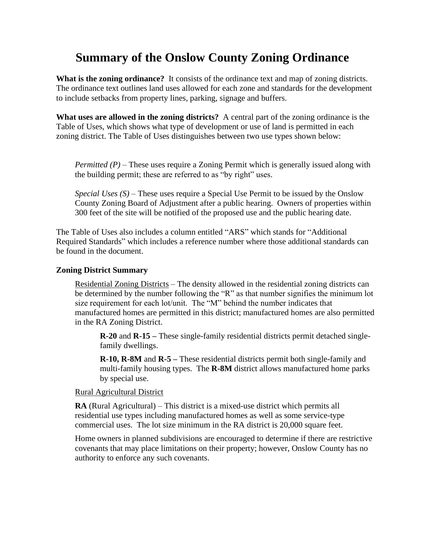# **Summary of the Onslow County Zoning Ordinance**

**What is the zoning ordinance?** It consists of the ordinance text and map of zoning districts. The ordinance text outlines land uses allowed for each zone and standards for the development to include setbacks from property lines, parking, signage and buffers.

**What uses are allowed in the zoning districts?** A central part of the zoning ordinance is the Table of Uses, which shows what type of development or use of land is permitted in each zoning district. The Table of Uses distinguishes between two use types shown below:

*Permitted (P)* – These uses require a Zoning Permit which is generally issued along with the building permit; these are referred to as "by right" uses.

*Special Uses (S)* – These uses require a Special Use Permit to be issued by the Onslow County Zoning Board of Adjustment after a public hearing. Owners of properties within 300 feet of the site will be notified of the proposed use and the public hearing date.

The Table of Uses also includes a column entitled "ARS" which stands for "Additional Required Standards" which includes a reference number where those additional standards can be found in the document.

# **Zoning District Summary**

Residential Zoning Districts – The density allowed in the residential zoning districts can be determined by the number following the "R" as that number signifies the minimum lot size requirement for each lot/unit. The "M" behind the number indicates that manufactured homes are permitted in this district; manufactured homes are also permitted in the RA Zoning District.

**R-20** and **R-15 –** These single-family residential districts permit detached singlefamily dwellings.

**R-10, R-8M** and **R-5 –** These residential districts permit both single-family and multi-family housing types. The **R-8M** district allows manufactured home parks by special use.

# Rural Agricultural District

**RA** (Rural Agricultural) – This district is a mixed-use district which permits all residential use types including manufactured homes as well as some service-type commercial uses. The lot size minimum in the RA district is 20,000 square feet.

Home owners in planned subdivisions are encouraged to determine if there are restrictive covenants that may place limitations on their property; however, Onslow County has no authority to enforce any such covenants.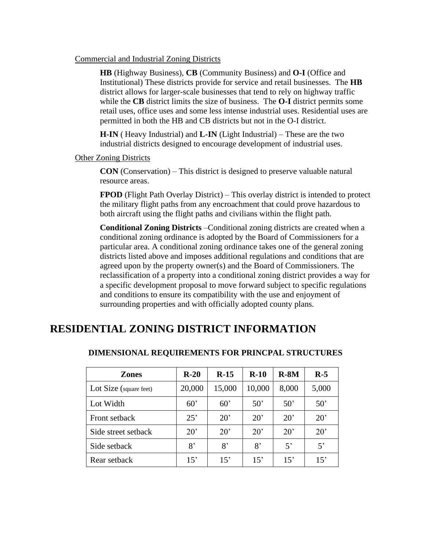#### Commercial and Industrial Zoning Districts

**HB** (Highway Business), **CB** (Community Business) and **O-I** (Office and Institutional) These districts provide for service and retail businesses. The **HB**  district allows for larger-scale businesses that tend to rely on highway traffic while the **CB** district limits the size of business. The **O-I** district permits some retail uses, office uses and some less intense industrial uses. Residential uses are permitted in both the HB and CB districts but not in the O-I district.

**H-IN** ( Heavy Industrial) and **L-IN** (Light Industrial) – These are the two industrial districts designed to encourage development of industrial uses.

Other Zoning Districts

**CON** (Conservation) – This district is designed to preserve valuable natural resource areas.

**FPOD** (Flight Path Overlay District) – This overlay district is intended to protect the military flight paths from any encroachment that could prove hazardous to both aircraft using the flight paths and civilians within the flight path.

**Conditional Zoning Districts** –Conditional zoning districts are created when a conditional zoning ordinance is adopted by the Board of Commissioners for a particular area. A conditional zoning ordinance takes one of the general zoning districts listed above and imposes additional regulations and conditions that are agreed upon by the property owner(s) and the Board of Commissioners. The reclassification of a property into a conditional zoning district provides a way for a specific development proposal to move forward subject to specific regulations and conditions to ensure its compatibility with the use and enjoyment of surrounding properties and with officially adopted county plans.

# **RESIDENTIAL ZONING DISTRICT INFORMATION**

| <b>Zones</b>           | $R-20$       | $R-15$       | $R-10$       | $R-SM$       | $R-5$        |
|------------------------|--------------|--------------|--------------|--------------|--------------|
| Lot Size (square feet) | 20,000       | 15,000       | 10,000       | 8,000        | 5,000        |
| Lot Width              | $60^{\circ}$ | 60'          | $50^{\circ}$ | 50'          | $50^{\circ}$ |
| Front setback          | 25'          | $20^{\circ}$ | $20^{\circ}$ | $20^{\circ}$ | 20'          |
| Side street setback    | $20^{\circ}$ | $20^{\circ}$ | $20^{\circ}$ | $20^{\circ}$ | $20^{\circ}$ |
| Side setback           | 8'           | 8'           | 8'           | 5'           | 5'           |
| Rear setback           | 15'          | 15'          | 15'          | 15'          | 15'          |

# **DIMENSIONAL REQUIREMENTS FOR PRINCPAL STRUCTURES**